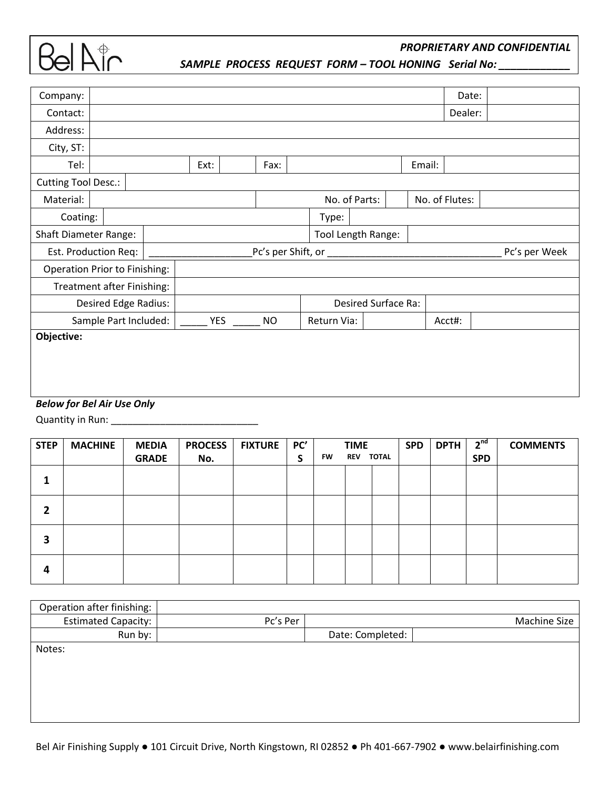

*SAMPLE PROCESS REQUEST FORM – TOOL HONING Serial No: \_\_\_\_\_\_\_\_\_\_\_\_*

| Company:                             |               |  |                    |                     |           |                |             | Date: |        |               |  |
|--------------------------------------|---------------|--|--------------------|---------------------|-----------|----------------|-------------|-------|--------|---------------|--|
| Contact:                             |               |  |                    |                     |           |                |             |       |        | Dealer:       |  |
| Address:                             |               |  |                    |                     |           |                |             |       |        |               |  |
| City, ST:                            |               |  |                    |                     |           |                |             |       |        |               |  |
| Tel:                                 |               |  | Ext:               |                     | Fax:      |                |             |       | Email: |               |  |
| <b>Cutting Tool Desc.:</b>           |               |  |                    |                     |           |                |             |       |        |               |  |
| Material:                            | No. of Parts: |  |                    |                     |           | No. of Flutes: |             |       |        |               |  |
| Coating:                             | Type:         |  |                    |                     |           |                |             |       |        |               |  |
| <b>Shaft Diameter Range:</b>         |               |  | Tool Length Range: |                     |           |                |             |       |        |               |  |
| Est. Production Req:                 |               |  | Pc's per Shift, or |                     |           |                |             |       |        | Pc's per Week |  |
| <b>Operation Prior to Finishing:</b> |               |  |                    |                     |           |                |             |       |        |               |  |
| Treatment after Finishing:           |               |  |                    |                     |           |                |             |       |        |               |  |
| Desired Edge Radius:                 |               |  |                    | Desired Surface Ra: |           |                |             |       |        |               |  |
| Sample Part Included:                |               |  | YES                |                     | <b>NO</b> |                | Return Via: |       |        | Acct#:        |  |
| Objective:                           |               |  |                    |                     |           |                |             |       |        |               |  |
|                                      |               |  |                    |                     |           |                |             |       |        |               |  |
|                                      |               |  |                    |                     |           |                |             |       |        |               |  |
|                                      |               |  |                    |                     |           |                |             |       |        |               |  |
| <b>Below for Bel Air Use Only</b>    |               |  |                    |                     |           |                |             |       |        |               |  |

Quantity in Run: \_\_\_\_\_\_\_\_\_\_\_\_\_\_\_\_\_\_\_\_\_\_\_\_\_\_\_

| <b>STEP</b> | <b>MACHINE</b> | <b>MEDIA</b> | <b>PROCESS</b> | <b>FIXTURE</b> | PC' |           | <b>TIME</b> |              | <b>SPD</b> | <b>DPTH</b> | 2 <sup>nd</sup> | <b>COMMENTS</b> |
|-------------|----------------|--------------|----------------|----------------|-----|-----------|-------------|--------------|------------|-------------|-----------------|-----------------|
|             |                | <b>GRADE</b> | No.            |                | S   | <b>FW</b> | <b>REV</b>  | <b>TOTAL</b> |            |             | <b>SPD</b>      |                 |
|             |                |              |                |                |     |           |             |              |            |             |                 |                 |
| 2           |                |              |                |                |     |           |             |              |            |             |                 |                 |
| 3           |                |              |                |                |     |           |             |              |            |             |                 |                 |
| 4           |                |              |                |                |     |           |             |              |            |             |                 |                 |

| Operation after finishing: |          |                  |              |
|----------------------------|----------|------------------|--------------|
| <b>Estimated Capacity:</b> | Pc's Per |                  | Machine Size |
| Run by:                    |          | Date: Completed: |              |
| Notes:                     |          |                  |              |
|                            |          |                  |              |
|                            |          |                  |              |
|                            |          |                  |              |
|                            |          |                  |              |
|                            |          |                  |              |